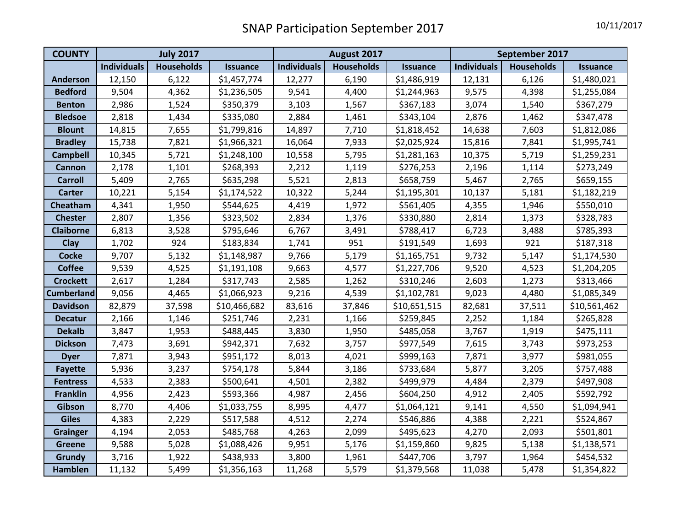| <b>COUNTY</b>     | <b>July 2017</b>   |                   |                 |                    | August 2017       |                 | September 2017     |                   |                 |
|-------------------|--------------------|-------------------|-----------------|--------------------|-------------------|-----------------|--------------------|-------------------|-----------------|
|                   | <b>Individuals</b> | <b>Households</b> | <b>Issuance</b> | <b>Individuals</b> | <b>Households</b> | <b>Issuance</b> | <b>Individuals</b> | <b>Households</b> | <b>Issuance</b> |
| <b>Anderson</b>   | 12,150             | 6,122             | \$1,457,774     | 12,277             | 6,190             | \$1,486,919     | 12,131             | 6,126             | \$1,480,021     |
| <b>Bedford</b>    | 9,504              | 4,362             | \$1,236,505     | 9,541              | 4,400             | \$1,244,963     | 9,575              | 4,398             | \$1,255,084     |
| <b>Benton</b>     | 2,986              | 1,524             | \$350,379       | 3,103              | 1,567             | \$367,183       | 3,074              | 1,540             | \$367,279       |
| <b>Bledsoe</b>    | 2,818              | 1,434             | \$335,080       | 2,884              | 1,461             | \$343,104       | 2,876              | 1,462             | \$347,478       |
| <b>Blount</b>     | 14,815             | 7,655             | \$1,799,816     | 14,897             | 7,710             | \$1,818,452     | 14,638             | 7,603             | \$1,812,086     |
| <b>Bradley</b>    | 15,738             | 7,821             | \$1,966,321     | 16,064             | 7,933             | \$2,025,924     | 15,816             | 7,841             | \$1,995,741     |
| <b>Campbell</b>   | 10,345             | 5,721             | \$1,248,100     | 10,558             | 5,795             | \$1,281,163     | 10,375             | 5,719             | \$1,259,231     |
| <b>Cannon</b>     | 2,178              | 1,101             | \$268,393       | 2,212              | 1,119             | \$276,253       | 2,196              | 1,114             | \$273,249       |
| <b>Carroll</b>    | 5,409              | 2,765             | \$635,298       | 5,521              | 2,813             | \$658,759       | 5,467              | 2,765             | \$659,155       |
| <b>Carter</b>     | 10,221             | 5,154             | \$1,174,522     | 10,322             | 5,244             | \$1,195,301     | 10,137             | 5,181             | \$1,182,219     |
| Cheatham          | 4,341              | 1,950             | \$544,625       | 4,419              | 1,972             | \$561,405       | 4,355              | 1,946             | \$550,010       |
| <b>Chester</b>    | 2,807              | 1,356             | \$323,502       | 2,834              | 1,376             | \$330,880       | 2,814              | 1,373             | \$328,783       |
| <b>Claiborne</b>  | 6,813              | 3,528             | \$795,646       | 6,767              | 3,491             | \$788,417       | 6,723              | 3,488             | \$785,393       |
| Clay              | 1,702              | 924               | \$183,834       | 1,741              | 951               | \$191,549       | 1,693              | 921               | \$187,318       |
| <b>Cocke</b>      | 9,707              | 5,132             | \$1,148,987     | 9,766              | 5,179             | \$1,165,751     | 9,732              | 5,147             | \$1,174,530     |
| <b>Coffee</b>     | 9,539              | 4,525             | \$1,191,108     | 9,663              | 4,577             | \$1,227,706     | 9,520              | 4,523             | \$1,204,205     |
| <b>Crockett</b>   | 2,617              | 1,284             | \$317,743       | 2,585              | 1,262             | \$310,246       | 2,603              | 1,273             | \$313,466       |
| <b>Cumberland</b> | 9,056              | 4,465             | \$1,066,923     | 9,216              | 4,539             | \$1,102,781     | 9,023              | 4,480             | \$1,085,349     |
| <b>Davidson</b>   | 82,879             | 37,598            | \$10,466,682    | 83,616             | 37,846            | \$10,651,515    | 82,681             | 37,511            | \$10,561,462    |
| <b>Decatur</b>    | 2,166              | 1,146             | \$251,746       | 2,231              | 1,166             | \$259,845       | 2,252              | 1,184             | \$265,828       |
| <b>Dekalb</b>     | 3,847              | 1,953             | \$488,445       | 3,830              | 1,950             | \$485,058       | 3,767              | 1,919             | \$475,111       |
| <b>Dickson</b>    | 7,473              | 3,691             | \$942,371       | 7,632              | 3,757             | \$977,549       | 7,615              | 3,743             | \$973,253       |
| <b>Dyer</b>       | 7,871              | 3,943             | \$951,172       | 8,013              | 4,021             | \$999,163       | 7,871              | 3,977             | \$981,055       |
| <b>Fayette</b>    | 5,936              | 3,237             | \$754,178       | 5,844              | 3,186             | \$733,684       | 5,877              | 3,205             | \$757,488       |
| <b>Fentress</b>   | 4,533              | 2,383             | \$500,641       | 4,501              | 2,382             | \$499,979       | 4,484              | 2,379             | \$497,908       |
| <b>Franklin</b>   | 4,956              | 2,423             | \$593,366       | 4,987              | 2,456             | \$604,250       | 4,912              | 2,405             | \$592,792       |
| Gibson            | 8,770              | 4,406             | \$1,033,755     | 8,995              | 4,477             | \$1,064,121     | 9,141              | 4,550             | \$1,094,941     |
| <b>Giles</b>      | 4,383              | 2,229             | \$517,588       | 4,512              | 2,274             | \$546,886       | 4,388              | 2,221             | \$524,867       |
| <b>Grainger</b>   | 4,194              | 2,053             | \$485,768       | 4,263              | 2,099             | \$495,623       | 4,270              | 2,093             | \$501,801       |
| <b>Greene</b>     | 9,588              | 5,028             | \$1,088,426     | 9,951              | 5,176             | \$1,159,860     | 9,825              | 5,138             | \$1,138,571     |
| Grundy            | 3,716              | 1,922             | \$438,933       | 3,800              | 1,961             | \$447,706       | 3,797              | 1,964             | \$454,532       |
| <b>Hamblen</b>    | 11,132             | 5,499             | \$1,356,163     | 11,268             | 5,579             | \$1,379,568     | 11,038             | 5,478             | \$1,354,822     |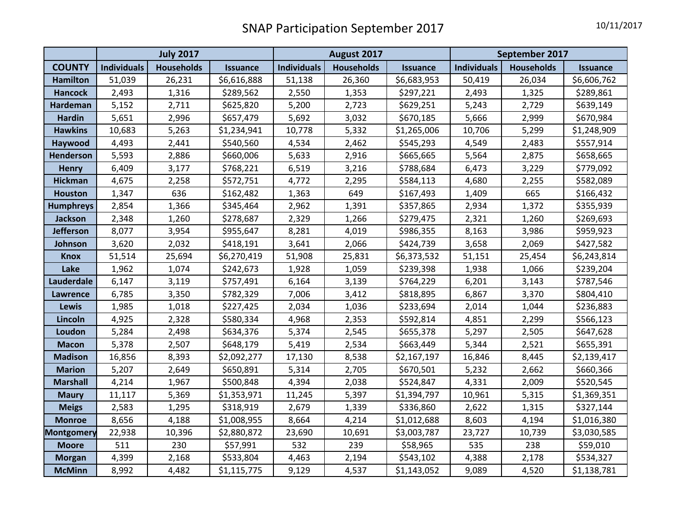|                   | <b>July 2017</b>   |                   |                 | August 2017        |                   |                 | September 2017     |                   |                 |
|-------------------|--------------------|-------------------|-----------------|--------------------|-------------------|-----------------|--------------------|-------------------|-----------------|
| <b>COUNTY</b>     | <b>Individuals</b> | <b>Households</b> | <b>Issuance</b> | <b>Individuals</b> | <b>Households</b> | <b>Issuance</b> | <b>Individuals</b> | <b>Households</b> | <b>Issuance</b> |
| <b>Hamilton</b>   | 51,039             | 26,231            | \$6,616,888     | 51,138             | 26,360            | \$6,683,953     | 50,419             | 26,034            | \$6,606,762     |
| <b>Hancock</b>    | 2,493              | 1,316             | \$289,562       | 2,550              | 1,353             | \$297,221       | 2,493              | 1,325             | \$289,861       |
| Hardeman          | 5,152              | 2,711             | \$625,820       | 5,200              | 2,723             | \$629,251       | 5,243              | 2,729             | \$639,149       |
| <b>Hardin</b>     | 5,651              | 2,996             | \$657,479       | 5,692              | 3,032             | \$670,185       | 5,666              | 2,999             | \$670,984       |
| <b>Hawkins</b>    | 10,683             | 5,263             | \$1,234,941     | 10,778             | 5,332             | \$1,265,006     | 10,706             | 5,299             | \$1,248,909     |
| Haywood           | 4,493              | 2,441             | \$540,560       | 4,534              | 2,462             | \$545,293       | 4,549              | 2,483             | \$557,914       |
| Henderson         | 5,593              | 2,886             | \$660,006       | 5,633              | 2,916             | \$665,665       | 5,564              | 2,875             | \$658,665       |
| <b>Henry</b>      | 6,409              | 3,177             | \$768,221       | 6,519              | 3,216             | \$788,684       | 6,473              | 3,229             | \$779,092       |
| <b>Hickman</b>    | 4,675              | 2,258             | \$572,751       | 4,772              | 2,295             | \$584,113       | 4,680              | 2,255             | \$582,089       |
| <b>Houston</b>    | 1,347              | 636               | \$162,482       | 1,363              | 649               | \$167,493       | 1,409              | 665               | \$166,432       |
| <b>Humphreys</b>  | 2,854              | 1,366             | \$345,464       | 2,962              | 1,391             | \$357,865       | 2,934              | 1,372             | \$355,939       |
| <b>Jackson</b>    | 2,348              | 1,260             | \$278,687       | 2,329              | 1,266             | \$279,475       | 2,321              | 1,260             | \$269,693       |
| <b>Jefferson</b>  | 8,077              | 3,954             | \$955,647       | 8,281              | 4,019             | \$986,355       | 8,163              | 3,986             | \$959,923       |
| Johnson           | 3,620              | 2,032             | \$418,191       | 3,641              | 2,066             | \$424,739       | 3,658              | 2,069             | \$427,582       |
| Knox              | 51,514             | 25,694            | \$6,270,419     | 51,908             | 25,831            | \$6,373,532     | 51,151             | 25,454            | \$6,243,814     |
| Lake              | 1,962              | 1,074             | \$242,673       | 1,928              | 1,059             | \$239,398       | 1,938              | 1,066             | \$239,204       |
| Lauderdale        | 6,147              | 3,119             | \$757,491       | 6,164              | 3,139             | \$764,229       | 6,201              | 3,143             | \$787,546       |
| <b>Lawrence</b>   | 6,785              | 3,350             | \$782,329       | 7,006              | 3,412             | \$818,895       | 6,867              | 3,370             | \$804,410       |
| Lewis             | 1,985              | 1,018             | \$227,425       | 2,034              | 1,036             | \$233,694       | 2,014              | 1,044             | \$236,883       |
| Lincoln           | 4,925              | 2,328             | \$580,334       | 4,968              | 2,353             | \$592,814       | 4,851              | 2,299             | \$566,123       |
| Loudon            | 5,284              | 2,498             | \$634,376       | 5,374              | 2,545             | \$655,378       | 5,297              | 2,505             | \$647,628       |
| <b>Macon</b>      | 5,378              | 2,507             | \$648,179       | 5,419              | 2,534             | \$663,449       | 5,344              | 2,521             | \$655,391       |
| <b>Madison</b>    | 16,856             | 8,393             | \$2,092,277     | 17,130             | 8,538             | \$2,167,197     | 16,846             | 8,445             | \$2,139,417     |
| <b>Marion</b>     | 5,207              | 2,649             | \$650,891       | 5,314              | 2,705             | \$670,501       | 5,232              | 2,662             | \$660,366       |
| <b>Marshall</b>   | 4,214              | 1,967             | \$500,848       | 4,394              | 2,038             | \$524,847       | 4,331              | 2,009             | \$520,545       |
| <b>Maury</b>      | 11,117             | 5,369             | \$1,353,971     | 11,245             | 5,397             | \$1,394,797     | 10,961             | 5,315             | \$1,369,351     |
| <b>Meigs</b>      | 2,583              | 1,295             | \$318,919       | 2,679              | 1,339             | \$336,860       | 2,622              | 1,315             | \$327,144       |
| <b>Monroe</b>     | 8,656              | 4,188             | \$1,008,955     | 8,664              | 4,214             | \$1,012,688     | 8,603              | 4,194             | \$1,016,380     |
| <b>Montgomery</b> | 22,938             | 10,396            | \$2,880,872     | 23,690             | 10,691            | \$3,003,787     | 23,727             | 10,739            | \$3,030,585     |
| <b>Moore</b>      | 511                | 230               | \$57,991        | 532                | 239               | \$58,965        | 535                | 238               | \$59,010        |
| <b>Morgan</b>     | 4,399              | 2,168             | \$533,804       | 4,463              | 2,194             | \$543,102       | 4,388              | 2,178             | \$534,327       |
| <b>McMinn</b>     | 8,992              | 4,482             | \$1,115,775     | 9,129              | 4,537             | \$1,143,052     | 9,089              | 4,520             | \$1,138,781     |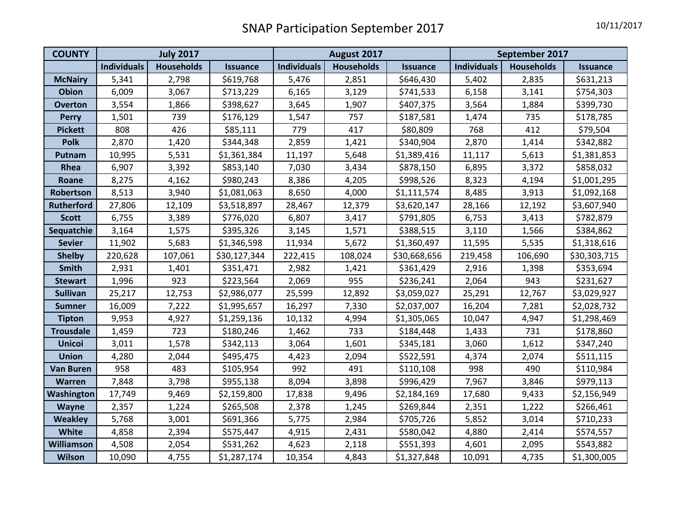| <b>COUNTY</b>     | <b>July 2017</b>   |                   |                 | August 2017        |                   |                 | September 2017     |                   |                 |
|-------------------|--------------------|-------------------|-----------------|--------------------|-------------------|-----------------|--------------------|-------------------|-----------------|
|                   | <b>Individuals</b> | <b>Households</b> | <b>Issuance</b> | <b>Individuals</b> | <b>Households</b> | <b>Issuance</b> | <b>Individuals</b> | <b>Households</b> | <b>Issuance</b> |
| <b>McNairy</b>    | 5,341              | 2,798             | \$619,768       | 5,476              | 2,851             | \$646,430       | 5,402              | 2,835             | \$631,213       |
| <b>Obion</b>      | 6,009              | 3,067             | \$713,229       | 6,165              | 3,129             | \$741,533       | 6,158              | 3,141             | \$754,303       |
| <b>Overton</b>    | 3,554              | 1,866             | \$398,627       | 3,645              | 1,907             | \$407,375       | 3,564              | 1,884             | \$399,730       |
| <b>Perry</b>      | 1,501              | 739               | \$176,129       | 1,547              | 757               | \$187,581       | 1,474              | 735               | \$178,785       |
| <b>Pickett</b>    | 808                | 426               | \$85,111        | 779                | 417               | \$80,809        | 768                | 412               | \$79,504        |
| <b>Polk</b>       | 2,870              | 1,420             | \$344,348       | 2,859              | 1,421             | \$340,904       | 2,870              | 1,414             | \$342,882       |
| Putnam            | 10,995             | 5,531             | \$1,361,384     | 11,197             | 5,648             | \$1,389,416     | 11,117             | 5,613             | \$1,381,853     |
| Rhea              | 6,907              | 3,392             | \$853,140       | 7,030              | 3,434             | \$878,150       | 6,895              | 3,372             | \$858,032       |
| Roane             | 8,275              | 4,162             | \$980,243       | 8,386              | 4,205             | \$998,526       | 8,323              | 4,194             | \$1,001,295     |
| Robertson         | 8,513              | 3,940             | \$1,081,063     | 8,650              | 4,000             | \$1,111,574     | 8,485              | 3,913             | \$1,092,168     |
| <b>Rutherford</b> | 27,806             | 12,109            | \$3,518,897     | 28,467             | 12,379            | \$3,620,147     | 28,166             | 12,192            | \$3,607,940     |
| <b>Scott</b>      | 6,755              | 3,389             | \$776,020       | 6,807              | 3,417             | \$791,805       | 6,753              | 3,413             | \$782,879       |
| Sequatchie        | 3,164              | 1,575             | \$395,326       | 3,145              | 1,571             | \$388,515       | 3,110              | 1,566             | \$384,862       |
| <b>Sevier</b>     | 11,902             | 5,683             | \$1,346,598     | 11,934             | 5,672             | \$1,360,497     | 11,595             | 5,535             | \$1,318,616     |
| <b>Shelby</b>     | 220,628            | 107,061           | \$30,127,344    | 222,415            | 108,024           | \$30,668,656    | 219,458            | 106,690           | \$30,303,715    |
| <b>Smith</b>      | 2,931              | 1,401             | \$351,471       | 2,982              | 1,421             | \$361,429       | 2,916              | 1,398             | \$353,694       |
| <b>Stewart</b>    | 1,996              | 923               | \$223,564       | 2,069              | 955               | \$236,241       | 2,064              | 943               | \$231,627       |
| <b>Sullivan</b>   | 25,217             | 12,753            | \$2,986,077     | 25,599             | 12,892            | \$3,059,027     | 25,291             | 12,767            | \$3,029,927     |
| <b>Sumner</b>     | 16,009             | 7,222             | \$1,995,657     | 16,297             | 7,330             | \$2,037,007     | 16,204             | 7,281             | \$2,028,732     |
| <b>Tipton</b>     | 9,953              | 4,927             | \$1,259,136     | 10,132             | 4,994             | \$1,305,065     | 10,047             | 4,947             | \$1,298,469     |
| <b>Trousdale</b>  | 1,459              | 723               | \$180,246       | 1,462              | 733               | \$184,448       | 1,433              | 731               | \$178,860       |
| <b>Unicoi</b>     | 3,011              | 1,578             | \$342,113       | 3,064              | 1,601             | \$345,181       | 3,060              | 1,612             | \$347,240       |
| <b>Union</b>      | 4,280              | 2,044             | \$495,475       | 4,423              | 2,094             | \$522,591       | 4,374              | 2,074             | \$511,115       |
| <b>Van Buren</b>  | 958                | 483               | \$105,954       | 992                | 491               | \$110,108       | 998                | 490               | \$110,984       |
| <b>Warren</b>     | 7,848              | 3,798             | \$955,138       | 8,094              | 3,898             | \$996,429       | 7,967              | 3,846             | \$979,113       |
| Washington        | 17,749             | 9,469             | \$2,159,800     | 17,838             | 9,496             | \$2,184,169     | 17,680             | 9,433             | \$2,156,949     |
| <b>Wayne</b>      | 2,357              | 1,224             | \$265,508       | 2,378              | 1,245             | \$269,844       | 2,351              | 1,222             | \$266,461       |
| <b>Weakley</b>    | 5,768              | 3,001             | \$691,366       | 5,775              | 2,984             | \$705,726       | 5,852              | 3,014             | \$710,233       |
| White             | 4,858              | 2,394             | \$575,447       | 4,915              | 2,431             | \$580,042       | 4,880              | 2,414             | \$574,557       |
| Williamson        | 4,508              | 2,054             | \$531,262       | 4,623              | 2,118             | \$551,393       | 4,601              | 2,095             | \$543,882       |
| <b>Wilson</b>     | 10,090             | 4,755             | \$1,287,174     | 10,354             | 4,843             | \$1,327,848     | 10,091             | 4,735             | \$1,300,005     |